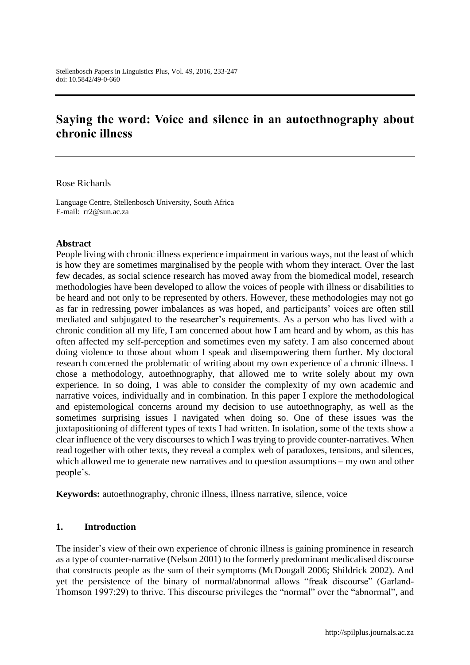# **Saying the word: Voice and silence in an autoethnography about chronic illness**

#### Rose Richards

Language Centre, Stellenbosch University, South Africa E-mail: rr2@sun.ac.za

#### **Abstract**

People living with chronic illness experience impairment in various ways, not the least of which is how they are sometimes marginalised by the people with whom they interact. Over the last few decades, as social science research has moved away from the biomedical model, research methodologies have been developed to allow the voices of people with illness or disabilities to be heard and not only to be represented by others. However, these methodologies may not go as far in redressing power imbalances as was hoped, and participants' voices are often still mediated and subjugated to the researcher's requirements. As a person who has lived with a chronic condition all my life, I am concerned about how I am heard and by whom, as this has often affected my self-perception and sometimes even my safety. I am also concerned about doing violence to those about whom I speak and disempowering them further. My doctoral research concerned the problematic of writing about my own experience of a chronic illness. I chose a methodology, autoethnography, that allowed me to write solely about my own experience. In so doing, I was able to consider the complexity of my own academic and narrative voices, individually and in combination. In this paper I explore the methodological and epistemological concerns around my decision to use autoethnography, as well as the sometimes surprising issues I navigated when doing so. One of these issues was the juxtapositioning of different types of texts I had written. In isolation, some of the texts show a clear influence of the very discourses to which I was trying to provide counter-narratives. When read together with other texts, they reveal a complex web of paradoxes, tensions, and silences, which allowed me to generate new narratives and to question assumptions – my own and other people's.

**Keywords:** autoethnography, chronic illness, illness narrative, silence, voice

### **1. Introduction**

The insider's view of their own experience of chronic illness is gaining prominence in research as a type of counter-narrative (Nelson 2001) to the formerly predominant medicalised discourse that constructs people as the sum of their symptoms (McDougall 2006; Shildrick 2002). And yet the persistence of the binary of normal/abnormal allows "freak discourse" (Garland-Thomson 1997:29) to thrive. This discourse privileges the "normal" over the "abnormal", and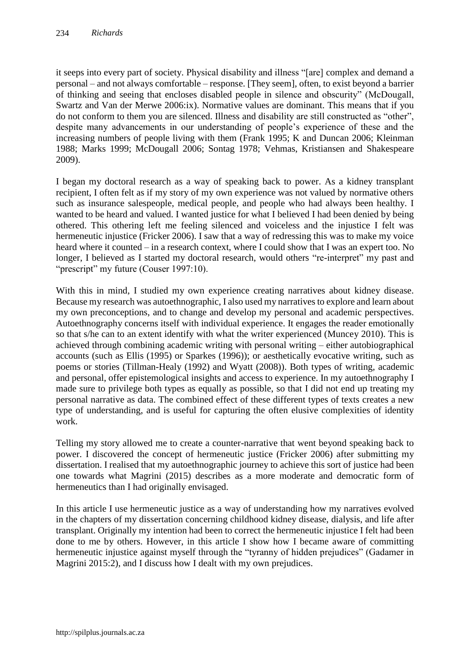it seeps into every part of society. Physical disability and illness "[are] complex and demand a personal – and not always comfortable – response. [They seem], often, to exist beyond a barrier of thinking and seeing that encloses disabled people in silence and obscurity" (McDougall, Swartz and Van der Merwe 2006:ix). Normative values are dominant. This means that if you do not conform to them you are silenced. Illness and disability are still constructed as "other", despite many advancements in our understanding of people's experience of these and the increasing numbers of people living with them (Frank 1995; K and Duncan 2006; Kleinman 1988; Marks 1999; McDougall 2006; Sontag 1978; Vehmas, Kristiansen and Shakespeare 2009).

I began my doctoral research as a way of speaking back to power. As a kidney transplant recipient, I often felt as if my story of my own experience was not valued by normative others such as insurance salespeople, medical people, and people who had always been healthy. I wanted to be heard and valued. I wanted justice for what I believed I had been denied by being othered. This othering left me feeling silenced and voiceless and the injustice I felt was hermeneutic injustice (Fricker 2006). I saw that a way of redressing this was to make my voice heard where it counted – in a research context, where I could show that I was an expert too. No longer, I believed as I started my doctoral research, would others "re-interpret" my past and "prescript" my future (Couser 1997:10).

With this in mind, I studied my own experience creating narratives about kidney disease. Because my research was autoethnographic, I also used my narratives to explore and learn about my own preconceptions, and to change and develop my personal and academic perspectives. Autoethnography concerns itself with individual experience. It engages the reader emotionally so that s/he can to an extent identify with what the writer experienced (Muncey 2010). This is achieved through combining academic writing with personal writing – either autobiographical accounts (such as Ellis (1995) or Sparkes (1996)); or aesthetically evocative writing, such as poems or stories (Tillman-Healy (1992) and Wyatt (2008)). Both types of writing, academic and personal, offer epistemological insights and access to experience. In my autoethnography I made sure to privilege both types as equally as possible, so that I did not end up treating my personal narrative as data. The combined effect of these different types of texts creates a new type of understanding, and is useful for capturing the often elusive complexities of identity work.

Telling my story allowed me to create a counter-narrative that went beyond speaking back to power. I discovered the concept of hermeneutic justice (Fricker 2006) after submitting my dissertation. I realised that my autoethnographic journey to achieve this sort of justice had been one towards what Magrini (2015) describes as a more moderate and democratic form of hermeneutics than I had originally envisaged.

In this article I use hermeneutic justice as a way of understanding how my narratives evolved in the chapters of my dissertation concerning childhood kidney disease, dialysis, and life after transplant. Originally my intention had been to correct the hermeneutic injustice I felt had been done to me by others. However, in this article I show how I became aware of committing hermeneutic injustice against myself through the "tyranny of hidden prejudices" (Gadamer in Magrini 2015:2), and I discuss how I dealt with my own prejudices.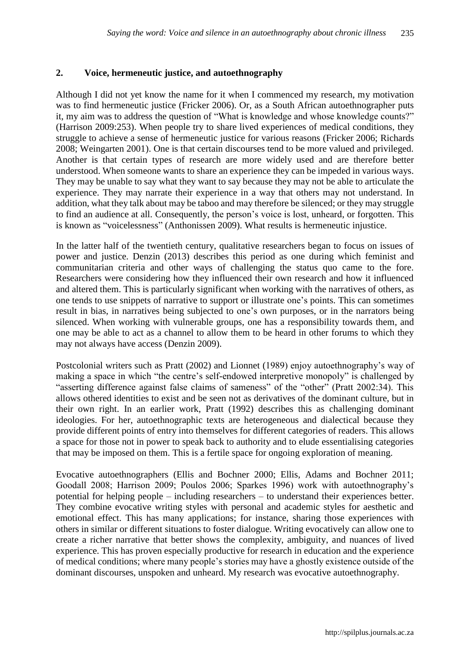#### **2. Voice, hermeneutic justice, and autoethnography**

Although I did not yet know the name for it when I commenced my research, my motivation was to find hermeneutic justice (Fricker 2006). Or, as a South African autoethnographer puts it, my aim was to address the question of "What is knowledge and whose knowledge counts?" (Harrison 2009:253). When people try to share lived experiences of medical conditions, they struggle to achieve a sense of hermeneutic justice for various reasons (Fricker 2006; Richards 2008; Weingarten 2001). One is that certain discourses tend to be more valued and privileged. Another is that certain types of research are more widely used and are therefore better understood. When someone wants to share an experience they can be impeded in various ways. They may be unable to say what they want to say because they may not be able to articulate the experience. They may narrate their experience in a way that others may not understand. In addition, what they talk about may be taboo and may therefore be silenced; or they may struggle to find an audience at all. Consequently, the person's voice is lost, unheard, or forgotten. This is known as "voicelessness" (Anthonissen 2009). What results is hermeneutic injustice.

In the latter half of the twentieth century, qualitative researchers began to focus on issues of power and justice. Denzin (2013) describes this period as one during which feminist and communitarian criteria and other ways of challenging the status quo came to the fore. Researchers were considering how they influenced their own research and how it influenced and altered them. This is particularly significant when working with the narratives of others, as one tends to use snippets of narrative to support or illustrate one's points. This can sometimes result in bias, in narratives being subjected to one's own purposes, or in the narrators being silenced. When working with vulnerable groups, one has a responsibility towards them, and one may be able to act as a channel to allow them to be heard in other forums to which they may not always have access (Denzin 2009).

Postcolonial writers such as Pratt (2002) and Lionnet (1989) enjoy autoethnography's way of making a space in which "the centre's self-endowed interpretive monopoly" is challenged by "asserting difference against false claims of sameness" of the "other" (Pratt 2002:34). This allows othered identities to exist and be seen not as derivatives of the dominant culture, but in their own right. In an earlier work, Pratt (1992) describes this as challenging dominant ideologies. For her, autoethnographic texts are heterogeneous and dialectical because they provide different points of entry into themselves for different categories of readers. This allows a space for those not in power to speak back to authority and to elude essentialising categories that may be imposed on them. This is a fertile space for ongoing exploration of meaning.

Evocative autoethnographers (Ellis and Bochner 2000; Ellis, Adams and Bochner 2011; Goodall 2008; Harrison 2009; Poulos 2006; Sparkes 1996) work with autoethnography's potential for helping people – including researchers – to understand their experiences better. They combine evocative writing styles with personal and academic styles for aesthetic and emotional effect. This has many applications; for instance, sharing those experiences with others in similar or different situations to foster dialogue. Writing evocatively can allow one to create a richer narrative that better shows the complexity, ambiguity, and nuances of lived experience. This has proven especially productive for research in education and the experience of medical conditions; where many people's stories may have a ghostly existence outside of the dominant discourses, unspoken and unheard. My research was evocative autoethnography.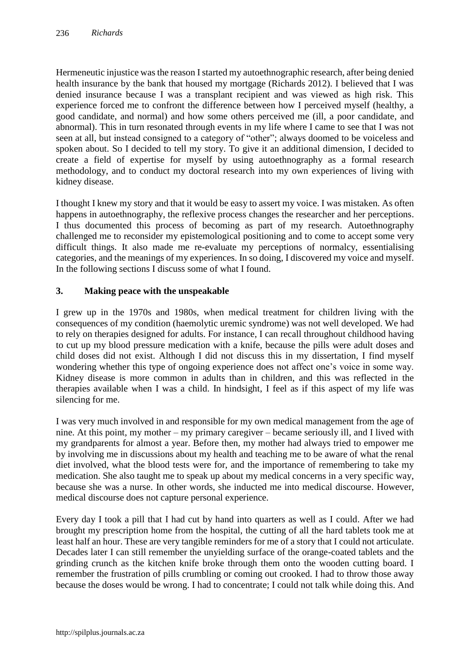Hermeneutic injustice was the reason I started my autoethnographic research, after being denied health insurance by the bank that housed my mortgage (Richards 2012). I believed that I was denied insurance because I was a transplant recipient and was viewed as high risk. This experience forced me to confront the difference between how I perceived myself (healthy, a good candidate, and normal) and how some others perceived me (ill, a poor candidate, and abnormal). This in turn resonated through events in my life where I came to see that I was not seen at all, but instead consigned to a category of "other"; always doomed to be voiceless and spoken about. So I decided to tell my story. To give it an additional dimension, I decided to create a field of expertise for myself by using autoethnography as a formal research methodology, and to conduct my doctoral research into my own experiences of living with kidney disease.

I thought I knew my story and that it would be easy to assert my voice. I was mistaken. As often happens in autoethnography, the reflexive process changes the researcher and her perceptions. I thus documented this process of becoming as part of my research. Autoethnography challenged me to reconsider my epistemological positioning and to come to accept some very difficult things. It also made me re-evaluate my perceptions of normalcy, essentialising categories, and the meanings of my experiences. In so doing, I discovered my voice and myself. In the following sections I discuss some of what I found.

## **3. Making peace with the unspeakable**

I grew up in the 1970s and 1980s, when medical treatment for children living with the consequences of my condition (haemolytic uremic syndrome) was not well developed. We had to rely on therapies designed for adults. For instance, I can recall throughout childhood having to cut up my blood pressure medication with a knife, because the pills were adult doses and child doses did not exist. Although I did not discuss this in my dissertation, I find myself wondering whether this type of ongoing experience does not affect one's voice in some way. Kidney disease is more common in adults than in children, and this was reflected in the therapies available when I was a child. In hindsight, I feel as if this aspect of my life was silencing for me.

I was very much involved in and responsible for my own medical management from the age of nine. At this point, my mother – my primary caregiver – became seriously ill, and I lived with my grandparents for almost a year. Before then, my mother had always tried to empower me by involving me in discussions about my health and teaching me to be aware of what the renal diet involved, what the blood tests were for, and the importance of remembering to take my medication. She also taught me to speak up about my medical concerns in a very specific way, because she was a nurse. In other words, she inducted me into medical discourse. However, medical discourse does not capture personal experience.

Every day I took a pill that I had cut by hand into quarters as well as I could. After we had brought my prescription home from the hospital, the cutting of all the hard tablets took me at least half an hour. These are very tangible reminders for me of a story that I could not articulate. Decades later I can still remember the unyielding surface of the orange-coated tablets and the grinding crunch as the kitchen knife broke through them onto the wooden cutting board. I remember the frustration of pills crumbling or coming out crooked. I had to throw those away because the doses would be wrong. I had to concentrate; I could not talk while doing this. And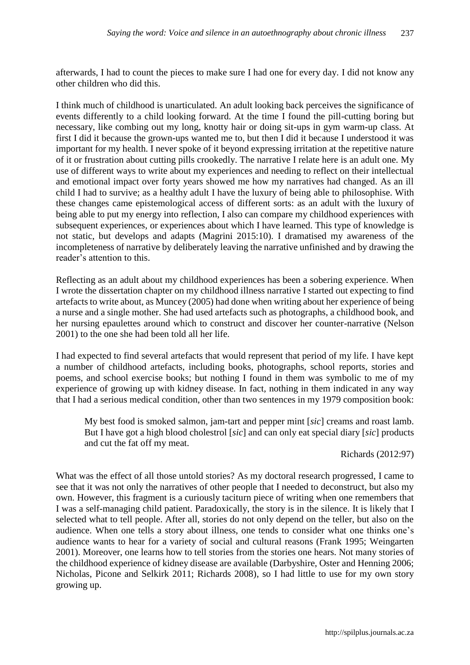afterwards, I had to count the pieces to make sure I had one for every day. I did not know any other children who did this.

I think much of childhood is unarticulated. An adult looking back perceives the significance of events differently to a child looking forward. At the time I found the pill-cutting boring but necessary, like combing out my long, knotty hair or doing sit-ups in gym warm-up class. At first I did it because the grown-ups wanted me to, but then I did it because I understood it was important for my health. I never spoke of it beyond expressing irritation at the repetitive nature of it or frustration about cutting pills crookedly. The narrative I relate here is an adult one. My use of different ways to write about my experiences and needing to reflect on their intellectual and emotional impact over forty years showed me how my narratives had changed. As an ill child I had to survive; as a healthy adult I have the luxury of being able to philosophise. With these changes came epistemological access of different sorts: as an adult with the luxury of being able to put my energy into reflection, I also can compare my childhood experiences with subsequent experiences, or experiences about which I have learned. This type of knowledge is not static, but develops and adapts (Magrini 2015:10). I dramatised my awareness of the incompleteness of narrative by deliberately leaving the narrative unfinished and by drawing the reader's attention to this.

Reflecting as an adult about my childhood experiences has been a sobering experience. When I wrote the dissertation chapter on my childhood illness narrative I started out expecting to find artefacts to write about, as Muncey (2005) had done when writing about her experience of being a nurse and a single mother. She had used artefacts such as photographs, a childhood book, and her nursing epaulettes around which to construct and discover her counter-narrative (Nelson 2001) to the one she had been told all her life.

I had expected to find several artefacts that would represent that period of my life. I have kept a number of childhood artefacts, including books, photographs, school reports, stories and poems, and school exercise books; but nothing I found in them was symbolic to me of my experience of growing up with kidney disease. In fact, nothing in them indicated in any way that I had a serious medical condition, other than two sentences in my 1979 composition book:

My best food is smoked salmon, jam-tart and pepper mint [*sic*] creams and roast lamb. But I have got a high blood cholestrol [*sic*] and can only eat special diary [*sic*] products and cut the fat off my meat.

#### Richards (2012:97)

What was the effect of all those untold stories? As my doctoral research progressed, I came to see that it was not only the narratives of other people that I needed to deconstruct, but also my own. However, this fragment is a curiously taciturn piece of writing when one remembers that I was a self-managing child patient. Paradoxically, the story is in the silence. It is likely that I selected what to tell people. After all, stories do not only depend on the teller, but also on the audience. When one tells a story about illness, one tends to consider what one thinks one's audience wants to hear for a variety of social and cultural reasons (Frank 1995; Weingarten 2001). Moreover, one learns how to tell stories from the stories one hears. Not many stories of the childhood experience of kidney disease are available (Darbyshire, Oster and Henning 2006; Nicholas, Picone and Selkirk 2011; Richards 2008), so I had little to use for my own story growing up.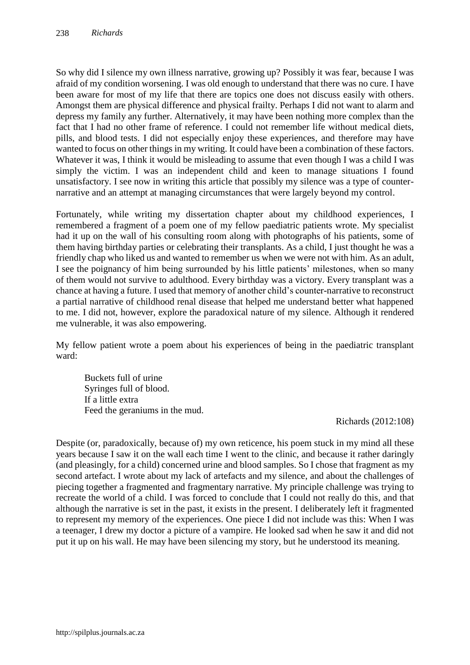So why did I silence my own illness narrative, growing up? Possibly it was fear, because I was afraid of my condition worsening. I was old enough to understand that there was no cure. I have been aware for most of my life that there are topics one does not discuss easily with others. Amongst them are physical difference and physical frailty. Perhaps I did not want to alarm and depress my family any further. Alternatively, it may have been nothing more complex than the fact that I had no other frame of reference. I could not remember life without medical diets, pills, and blood tests. I did not especially enjoy these experiences, and therefore may have wanted to focus on other things in my writing. It could have been a combination of these factors. Whatever it was, I think it would be misleading to assume that even though I was a child I was simply the victim. I was an independent child and keen to manage situations I found unsatisfactory. I see now in writing this article that possibly my silence was a type of counternarrative and an attempt at managing circumstances that were largely beyond my control.

Fortunately, while writing my dissertation chapter about my childhood experiences, I remembered a fragment of a poem one of my fellow paediatric patients wrote. My specialist had it up on the wall of his consulting room along with photographs of his patients, some of them having birthday parties or celebrating their transplants. As a child, I just thought he was a friendly chap who liked us and wanted to remember us when we were not with him. As an adult, I see the poignancy of him being surrounded by his little patients' milestones, when so many of them would not survive to adulthood. Every birthday was a victory. Every transplant was a chance at having a future. I used that memory of another child's counter-narrative to reconstruct a partial narrative of childhood renal disease that helped me understand better what happened to me. I did not, however, explore the paradoxical nature of my silence. Although it rendered me vulnerable, it was also empowering.

My fellow patient wrote a poem about his experiences of being in the paediatric transplant ward:

Buckets full of urine Syringes full of blood. If a little extra Feed the geraniums in the mud.

Richards (2012:108)

Despite (or, paradoxically, because of) my own reticence, his poem stuck in my mind all these years because I saw it on the wall each time I went to the clinic, and because it rather daringly (and pleasingly, for a child) concerned urine and blood samples. So I chose that fragment as my second artefact. I wrote about my lack of artefacts and my silence, and about the challenges of piecing together a fragmented and fragmentary narrative. My principle challenge was trying to recreate the world of a child. I was forced to conclude that I could not really do this, and that although the narrative is set in the past, it exists in the present. I deliberately left it fragmented to represent my memory of the experiences. One piece I did not include was this: When I was a teenager, I drew my doctor a picture of a vampire. He looked sad when he saw it and did not put it up on his wall. He may have been silencing my story, but he understood its meaning.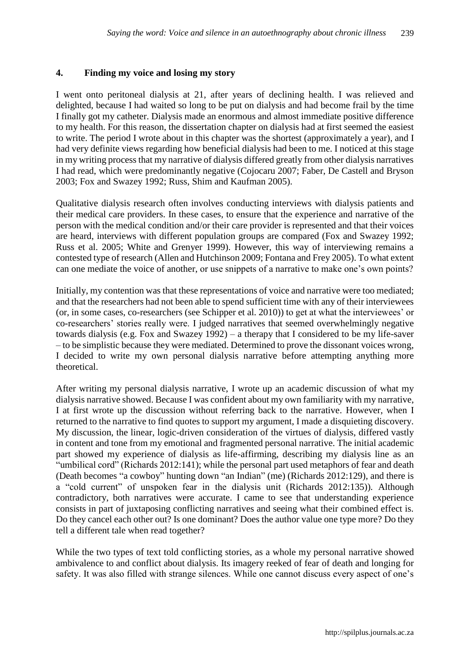#### **4. Finding my voice and losing my story**

I went onto peritoneal dialysis at 21, after years of declining health. I was relieved and delighted, because I had waited so long to be put on dialysis and had become frail by the time I finally got my catheter. Dialysis made an enormous and almost immediate positive difference to my health. For this reason, the dissertation chapter on dialysis had at first seemed the easiest to write. The period I wrote about in this chapter was the shortest (approximately a year), and I had very definite views regarding how beneficial dialysis had been to me. I noticed at this stage in my writing process that my narrative of dialysis differed greatly from other dialysis narratives I had read, which were predominantly negative (Cojocaru 2007; Faber, De Castell and Bryson 2003; Fox and Swazey 1992; Russ, Shim and Kaufman 2005).

Qualitative dialysis research often involves conducting interviews with dialysis patients and their medical care providers. In these cases, to ensure that the experience and narrative of the person with the medical condition and/or their care provider is represented and that their voices are heard, interviews with different population groups are compared (Fox and Swazey 1992; Russ et al. 2005; White and Grenyer 1999). However, this way of interviewing remains a contested type of research (Allen and Hutchinson 2009; Fontana and Frey 2005). To what extent can one mediate the voice of another, or use snippets of a narrative to make one's own points?

Initially, my contention was that these representations of voice and narrative were too mediated; and that the researchers had not been able to spend sufficient time with any of their interviewees (or, in some cases, co-researchers (see Schipper et al. 2010)) to get at what the interviewees' or co-researchers' stories really were. I judged narratives that seemed overwhelmingly negative towards dialysis (e.g. Fox and Swazey 1992) – a therapy that I considered to be my life-saver – to be simplistic because they were mediated. Determined to prove the dissonant voices wrong, I decided to write my own personal dialysis narrative before attempting anything more theoretical.

After writing my personal dialysis narrative, I wrote up an academic discussion of what my dialysis narrative showed. Because I was confident about my own familiarity with my narrative, I at first wrote up the discussion without referring back to the narrative. However, when I returned to the narrative to find quotes to support my argument, I made a disquieting discovery. My discussion, the linear, logic-driven consideration of the virtues of dialysis, differed vastly in content and tone from my emotional and fragmented personal narrative. The initial academic part showed my experience of dialysis as life-affirming, describing my dialysis line as an "umbilical cord" (Richards 2012:141); while the personal part used metaphors of fear and death (Death becomes "a cowboy" hunting down "an Indian" (me) (Richards 2012:129), and there is a "cold current" of unspoken fear in the dialysis unit (Richards 2012:135)). Although contradictory, both narratives were accurate. I came to see that understanding experience consists in part of juxtaposing conflicting narratives and seeing what their combined effect is. Do they cancel each other out? Is one dominant? Does the author value one type more? Do they tell a different tale when read together?

While the two types of text told conflicting stories, as a whole my personal narrative showed ambivalence to and conflict about dialysis. Its imagery reeked of fear of death and longing for safety. It was also filled with strange silences. While one cannot discuss every aspect of one's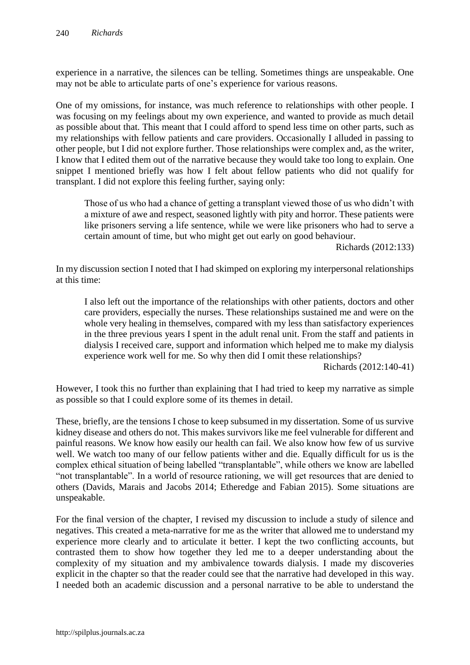experience in a narrative, the silences can be telling. Sometimes things are unspeakable. One may not be able to articulate parts of one's experience for various reasons.

One of my omissions, for instance, was much reference to relationships with other people. I was focusing on my feelings about my own experience, and wanted to provide as much detail as possible about that. This meant that I could afford to spend less time on other parts, such as my relationships with fellow patients and care providers. Occasionally I alluded in passing to other people, but I did not explore further. Those relationships were complex and, as the writer, I know that I edited them out of the narrative because they would take too long to explain. One snippet I mentioned briefly was how I felt about fellow patients who did not qualify for transplant. I did not explore this feeling further, saying only:

Those of us who had a chance of getting a transplant viewed those of us who didn't with a mixture of awe and respect, seasoned lightly with pity and horror. These patients were like prisoners serving a life sentence, while we were like prisoners who had to serve a certain amount of time, but who might get out early on good behaviour.

Richards (2012:133)

In my discussion section I noted that I had skimped on exploring my interpersonal relationships at this time:

I also left out the importance of the relationships with other patients, doctors and other care providers, especially the nurses. These relationships sustained me and were on the whole very healing in themselves, compared with my less than satisfactory experiences in the three previous years I spent in the adult renal unit. From the staff and patients in dialysis I received care, support and information which helped me to make my dialysis experience work well for me. So why then did I omit these relationships?

Richards (2012:140-41)

However, I took this no further than explaining that I had tried to keep my narrative as simple as possible so that I could explore some of its themes in detail.

These, briefly, are the tensions I chose to keep subsumed in my dissertation. Some of us survive kidney disease and others do not. This makes survivors like me feel vulnerable for different and painful reasons. We know how easily our health can fail. We also know how few of us survive well. We watch too many of our fellow patients wither and die. Equally difficult for us is the complex ethical situation of being labelled "transplantable", while others we know are labelled "not transplantable". In a world of resource rationing, we will get resources that are denied to others (Davids, Marais and Jacobs 2014; Etheredge and Fabian 2015). Some situations are unspeakable.

For the final version of the chapter, I revised my discussion to include a study of silence and negatives. This created a meta-narrative for me as the writer that allowed me to understand my experience more clearly and to articulate it better. I kept the two conflicting accounts, but contrasted them to show how together they led me to a deeper understanding about the complexity of my situation and my ambivalence towards dialysis. I made my discoveries explicit in the chapter so that the reader could see that the narrative had developed in this way. I needed both an academic discussion and a personal narrative to be able to understand the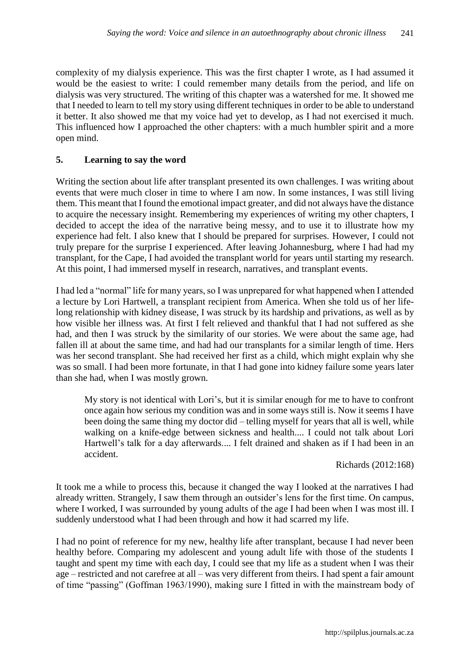complexity of my dialysis experience. This was the first chapter I wrote, as I had assumed it would be the easiest to write: I could remember many details from the period, and life on dialysis was very structured. The writing of this chapter was a watershed for me. It showed me that I needed to learn to tell my story using different techniques in order to be able to understand it better. It also showed me that my voice had yet to develop, as I had not exercised it much. This influenced how I approached the other chapters: with a much humbler spirit and a more open mind.

## **5. Learning to say the word**

Writing the section about life after transplant presented its own challenges. I was writing about events that were much closer in time to where I am now. In some instances, I was still living them. This meant that I found the emotional impact greater, and did not always have the distance to acquire the necessary insight. Remembering my experiences of writing my other chapters, I decided to accept the idea of the narrative being messy, and to use it to illustrate how my experience had felt. I also knew that I should be prepared for surprises. However, I could not truly prepare for the surprise I experienced. After leaving Johannesburg, where I had had my transplant, for the Cape, I had avoided the transplant world for years until starting my research. At this point, I had immersed myself in research, narratives, and transplant events.

I had led a "normal" life for many years, so I was unprepared for what happened when I attended a lecture by Lori Hartwell, a transplant recipient from America. When she told us of her lifelong relationship with kidney disease, I was struck by its hardship and privations, as well as by how visible her illness was. At first I felt relieved and thankful that I had not suffered as she had, and then I was struck by the similarity of our stories. We were about the same age, had fallen ill at about the same time, and had had our transplants for a similar length of time. Hers was her second transplant. She had received her first as a child, which might explain why she was so small. I had been more fortunate, in that I had gone into kidney failure some years later than she had, when I was mostly grown.

My story is not identical with Lori's, but it is similar enough for me to have to confront once again how serious my condition was and in some ways still is. Now it seems I have been doing the same thing my doctor did – telling myself for years that all is well, while walking on a knife-edge between sickness and health.... I could not talk about Lori Hartwell's talk for a day afterwards.... I felt drained and shaken as if I had been in an accident.

#### Richards (2012:168)

It took me a while to process this, because it changed the way I looked at the narratives I had already written. Strangely, I saw them through an outsider's lens for the first time. On campus, where I worked, I was surrounded by young adults of the age I had been when I was most ill. I suddenly understood what I had been through and how it had scarred my life.

I had no point of reference for my new, healthy life after transplant, because I had never been healthy before. Comparing my adolescent and young adult life with those of the students I taught and spent my time with each day, I could see that my life as a student when I was their age – restricted and not carefree at all – was very different from theirs. I had spent a fair amount of time "passing" (Goffman 1963/1990), making sure I fitted in with the mainstream body of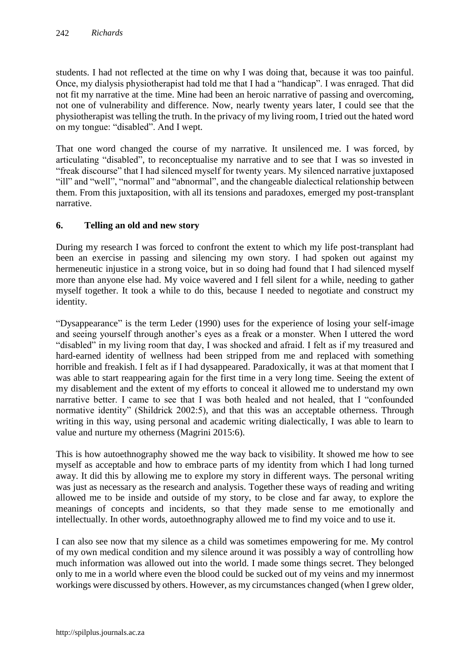students. I had not reflected at the time on why I was doing that, because it was too painful. Once, my dialysis physiotherapist had told me that I had a "handicap". I was enraged. That did not fit my narrative at the time. Mine had been an heroic narrative of passing and overcoming, not one of vulnerability and difference. Now, nearly twenty years later, I could see that the physiotherapist was telling the truth. In the privacy of my living room, I tried out the hated word on my tongue: "disabled". And I wept.

That one word changed the course of my narrative. It unsilenced me. I was forced, by articulating "disabled", to reconceptualise my narrative and to see that I was so invested in "freak discourse" that I had silenced myself for twenty years. My silenced narrative juxtaposed "ill" and "well", "normal" and "abnormal", and the changeable dialectical relationship between them. From this juxtaposition, with all its tensions and paradoxes, emerged my post-transplant narrative.

## **6. Telling an old and new story**

During my research I was forced to confront the extent to which my life post-transplant had been an exercise in passing and silencing my own story. I had spoken out against my hermeneutic injustice in a strong voice, but in so doing had found that I had silenced myself more than anyone else had. My voice wavered and I fell silent for a while, needing to gather myself together. It took a while to do this, because I needed to negotiate and construct my identity.

"Dysappearance" is the term Leder (1990) uses for the experience of losing your self-image and seeing yourself through another's eyes as a freak or a monster. When I uttered the word "disabled" in my living room that day, I was shocked and afraid. I felt as if my treasured and hard-earned identity of wellness had been stripped from me and replaced with something horrible and freakish. I felt as if I had dysappeared. Paradoxically, it was at that moment that I was able to start reappearing again for the first time in a very long time. Seeing the extent of my disablement and the extent of my efforts to conceal it allowed me to understand my own narrative better. I came to see that I was both healed and not healed, that I "confounded normative identity" (Shildrick 2002:5), and that this was an acceptable otherness. Through writing in this way, using personal and academic writing dialectically, I was able to learn to value and nurture my otherness (Magrini 2015:6).

This is how autoethnography showed me the way back to visibility. It showed me how to see myself as acceptable and how to embrace parts of my identity from which I had long turned away. It did this by allowing me to explore my story in different ways. The personal writing was just as necessary as the research and analysis. Together these ways of reading and writing allowed me to be inside and outside of my story, to be close and far away, to explore the meanings of concepts and incidents, so that they made sense to me emotionally and intellectually. In other words, autoethnography allowed me to find my voice and to use it.

I can also see now that my silence as a child was sometimes empowering for me. My control of my own medical condition and my silence around it was possibly a way of controlling how much information was allowed out into the world. I made some things secret. They belonged only to me in a world where even the blood could be sucked out of my veins and my innermost workings were discussed by others. However, as my circumstances changed (when I grew older,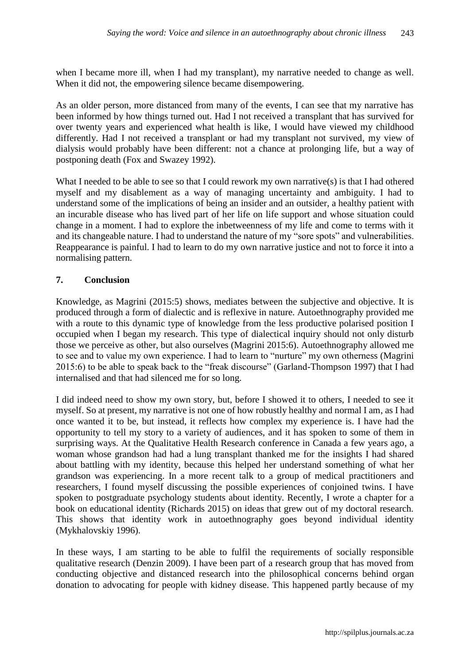when I became more ill, when I had my transplant), my narrative needed to change as well. When it did not, the empowering silence became disempowering.

As an older person, more distanced from many of the events, I can see that my narrative has been informed by how things turned out. Had I not received a transplant that has survived for over twenty years and experienced what health is like, I would have viewed my childhood differently. Had I not received a transplant or had my transplant not survived, my view of dialysis would probably have been different: not a chance at prolonging life, but a way of postponing death (Fox and Swazey 1992).

What I needed to be able to see so that I could rework my own narrative(s) is that I had othered myself and my disablement as a way of managing uncertainty and ambiguity. I had to understand some of the implications of being an insider and an outsider, a healthy patient with an incurable disease who has lived part of her life on life support and whose situation could change in a moment. I had to explore the inbetweenness of my life and come to terms with it and its changeable nature. I had to understand the nature of my "sore spots" and vulnerabilities. Reappearance is painful. I had to learn to do my own narrative justice and not to force it into a normalising pattern.

## **7. Conclusion**

Knowledge, as Magrini (2015:5) shows, mediates between the subjective and objective. It is produced through a form of dialectic and is reflexive in nature. Autoethnography provided me with a route to this dynamic type of knowledge from the less productive polarised position I occupied when I began my research. This type of dialectical inquiry should not only disturb those we perceive as other, but also ourselves (Magrini 2015:6). Autoethnography allowed me to see and to value my own experience. I had to learn to "nurture" my own otherness (Magrini 2015:6) to be able to speak back to the "freak discourse" (Garland-Thompson 1997) that I had internalised and that had silenced me for so long.

I did indeed need to show my own story, but, before I showed it to others, I needed to see it myself. So at present, my narrative is not one of how robustly healthy and normal I am, as I had once wanted it to be, but instead, it reflects how complex my experience is. I have had the opportunity to tell my story to a variety of audiences, and it has spoken to some of them in surprising ways. At the Qualitative Health Research conference in Canada a few years ago, a woman whose grandson had had a lung transplant thanked me for the insights I had shared about battling with my identity, because this helped her understand something of what her grandson was experiencing. In a more recent talk to a group of medical practitioners and researchers, I found myself discussing the possible experiences of conjoined twins. I have spoken to postgraduate psychology students about identity. Recently, I wrote a chapter for a book on educational identity (Richards 2015) on ideas that grew out of my doctoral research. This shows that identity work in autoethnography goes beyond individual identity (Mykhalovskiy 1996).

In these ways, I am starting to be able to fulfil the requirements of socially responsible qualitative research (Denzin 2009). I have been part of a research group that has moved from conducting objective and distanced research into the philosophical concerns behind organ donation to advocating for people with kidney disease. This happened partly because of my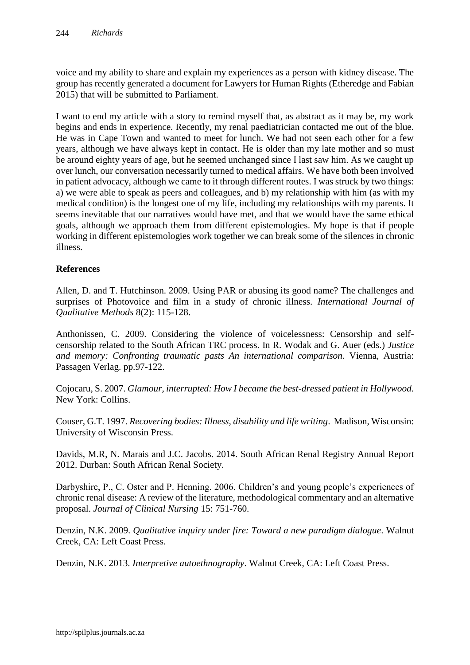voice and my ability to share and explain my experiences as a person with kidney disease. The group has recently generated a document for Lawyers for Human Rights (Etheredge and Fabian 2015) that will be submitted to Parliament.

I want to end my article with a story to remind myself that, as abstract as it may be, my work begins and ends in experience. Recently, my renal paediatrician contacted me out of the blue. He was in Cape Town and wanted to meet for lunch. We had not seen each other for a few years, although we have always kept in contact. He is older than my late mother and so must be around eighty years of age, but he seemed unchanged since I last saw him. As we caught up over lunch, our conversation necessarily turned to medical affairs. We have both been involved in patient advocacy, although we came to it through different routes. I was struck by two things: a) we were able to speak as peers and colleagues, and b) my relationship with him (as with my medical condition) is the longest one of my life, including my relationships with my parents. It seems inevitable that our narratives would have met, and that we would have the same ethical goals, although we approach them from different epistemologies. My hope is that if people working in different epistemologies work together we can break some of the silences in chronic illness.

## **References**

Allen, D. and T. Hutchinson. 2009. Using PAR or abusing its good name? The challenges and surprises of Photovoice and film in a study of chronic illness. *International Journal of Qualitative Methods* 8(2): 115-128.

Anthonissen, C. 2009. Considering the violence of voicelessness: Censorship and selfcensorship related to the South African TRC process. In R. Wodak and G. Auer (eds.) *Justice and memory: Confronting traumatic pasts An international comparison*. Vienna, Austria: Passagen Verlag. pp.97-122.

Cojocaru, S. 2007. *Glamour, interrupted: How I became the best-dressed patient in Hollywood.*  New York: Collins.

Couser, G.T. 1997. *Recovering bodies: Illness, disability and life writing*. Madison, Wisconsin: University of Wisconsin Press.

Davids, M.R, N. Marais and J.C. Jacobs. 2014. South African Renal Registry Annual Report 2012. Durban: South African Renal Society.

Darbyshire, P., C. Oster and P. Henning. 2006. Children's and young people's experiences of chronic renal disease: A review of the literature, methodological commentary and an alternative proposal. *Journal of Clinical Nursing* 15: 751-760.

Denzin, N.K. 2009. *Qualitative inquiry under fire: Toward a new paradigm dialogue*. Walnut Creek, CA: Left Coast Press.

Denzin, N.K. 2013. *Interpretive autoethnography*. Walnut Creek, CA: Left Coast Press.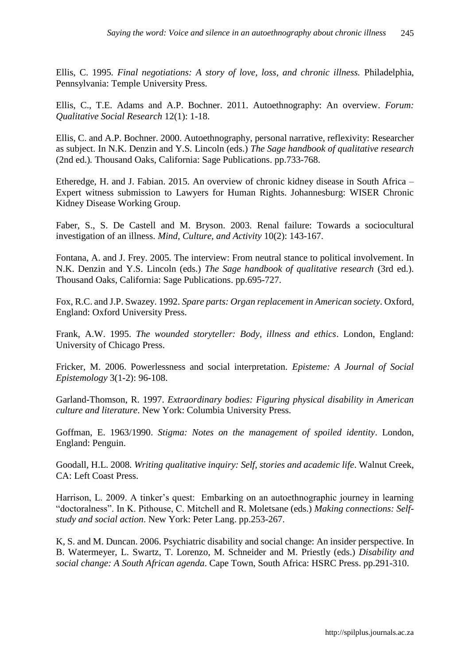Ellis, C. 1995*. Final negotiations: A story of love, loss, and chronic illness.* Philadelphia, Pennsylvania: Temple University Press.

Ellis, C., T.E. Adams and A.P. Bochner. 2011. Autoethnography: An overview. *Forum: Qualitative Social Research* 12(1): 1-18.

Ellis, C. and A.P. Bochner. 2000. Autoethnography, personal narrative, reflexivity: Researcher as subject. In N.K. Denzin and Y.S. Lincoln (eds.) *The Sage handbook of qualitative research*  (2nd ed.)*.* Thousand Oaks, California: Sage Publications. pp.733-768.

Etheredge, H. and J. Fabian. 2015. An overview of chronic kidney disease in South Africa – Expert witness submission to Lawyers for Human Rights. Johannesburg: WISER Chronic Kidney Disease Working Group.

Faber, S., S. De Castell and M. Bryson. 2003. Renal failure: Towards a sociocultural investigation of an illness. *Mind, Culture, and Activity* 10(2): 143-167.

Fontana, A. and J. Frey. 2005. The interview: From neutral stance to political involvement. In N.K. Denzin and Y.S. Lincoln (eds.) *The Sage handbook of qualitative research* (3rd ed.). Thousand Oaks, California: Sage Publications. pp.695-727.

Fox, R.C. and J.P. Swazey. 1992. *Spare parts: Organ replacement in American society*. Oxford, England: Oxford University Press.

Frank, A.W. 1995. *The wounded storyteller: Body, illness and ethics*. London, England: University of Chicago Press.

Fricker, M. 2006. Powerlessness and social interpretation. *Episteme: A Journal of Social Epistemology* 3(1-2): 96-108.

Garland-Thomson, R. 1997. *Extraordinary bodies: Figuring physical disability in American culture and literature*. New York: Columbia University Press.

Goffman, E. 1963/1990. *Stigma: Notes on the management of spoiled identity*. London, England: Penguin.

Goodall, H.L. 2008. *Writing qualitative inquiry: Self, stories and academic life*. Walnut Creek, CA: Left Coast Press.

Harrison, L. 2009. A tinker's quest: Embarking on an autoethnographic journey in learning "doctoralness". In K. Pithouse, C. Mitchell and R. Moletsane (eds.) *Making connections: Selfstudy and social action*. New York: Peter Lang. pp.253-267.

K, S. and M. Duncan. 2006. Psychiatric disability and social change: An insider perspective. In B. Watermeyer, L. Swartz, T. Lorenzo, M. Schneider and M. Priestly (eds.) *Disability and social change: A South African agenda*. Cape Town, South Africa: HSRC Press. pp.291-310.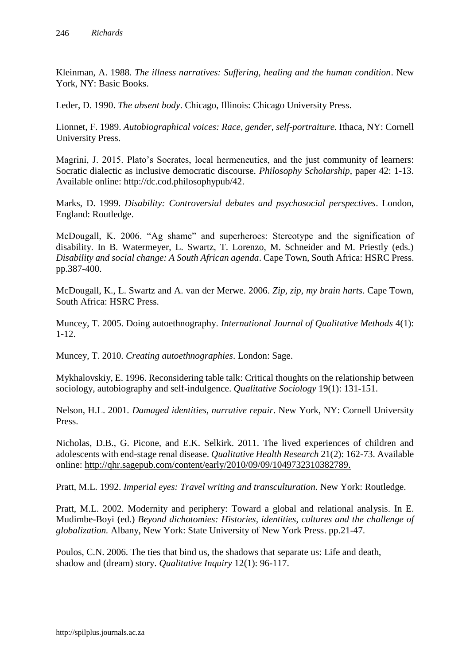Kleinman, A. 1988. *The illness narratives: Suffering, healing and the human condition*. New York, NY: Basic Books.

Leder, D. 1990. *The absent body*. Chicago, Illinois: Chicago University Press.

Lionnet, F. 1989. *Autobiographical voices: Race, gender, self-portraiture.* Ithaca, NY: Cornell University Press.

Magrini, J. 2015. Plato's Socrates, local hermeneutics, and the just community of learners: Socratic dialectic as inclusive democratic discourse. *Philosophy Scholarship*, paper 42: 1-13. Available online: [http://dc.cod.philosophypub/42.](http://dc.cod.philosophypub/42)

Marks, D. 1999. *Disability: Controversial debates and psychosocial perspectives*. London, England: Routledge.

McDougall, K. 2006. "Ag shame" and superheroes: Stereotype and the signification of disability. In B. Watermeyer, L. Swartz, T. Lorenzo, M. Schneider and M. Priestly (eds.) *Disability and social change: A South African agenda*. Cape Town, South Africa: HSRC Press. pp.387-400.

McDougall, K., L. Swartz and A. van der Merwe. 2006. *Zip, zip, my brain harts*. Cape Town, South Africa: HSRC Press.

Muncey, T. 2005. Doing autoethnography. *International Journal of Qualitative Methods* 4(1): 1-12.

Muncey, T. 2010. *Creating autoethnographies*. London: Sage.

Mykhalovskiy, E. 1996. Reconsidering table talk: Critical thoughts on the relationship between sociology, autobiography and self-indulgence. *Qualitative Sociology* 19(1): 131-151.

Nelson, H.L. 2001. *Damaged identities, narrative repair*. New York, NY: Cornell University Press.

Nicholas, D.B., G. Picone, and E.K. Selkirk. 2011. The lived experiences of children and adolescents with end-stage renal disease. *Qualitative Health Research* 21(2): 162-73. Available online: [http://qhr.sagepub.com/content/early/2010/09/09/1049732310382789.](http://qhr.sagepub.com/content/early/2010/09/09/1049732310382789)

Pratt, M.L. 1992. *Imperial eyes: Travel writing and transculturation.* New York: Routledge.

Pratt, M.L. 2002. Modernity and periphery: Toward a global and relational analysis. In E. Mudimbe-Boyi (ed.) *Beyond dichotomies: Histories, identities, cultures and the challenge of globalization.* Albany, New York: State University of New York Press. pp.21-47.

Poulos, C.N. 2006. The ties that bind us, the shadows that separate us: Life and death, shadow and (dream) story. *Qualitative Inquiry* 12(1): 96-117.